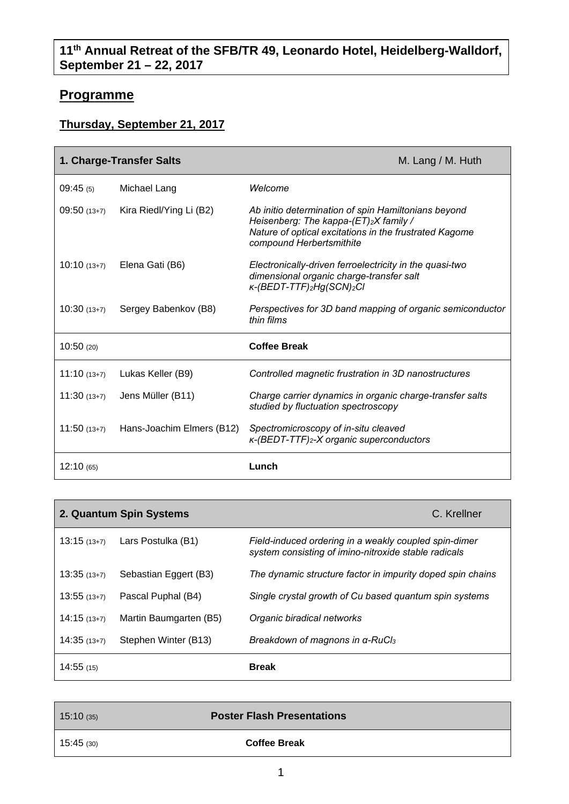## **11th Annual Retreat of the SFB/TR 49, Leonardo Hotel, Heidelberg-Walldorf, September 21 – 22, 2017**

## **Programme**

## **Thursday, September 21, 2017**

| 1. Charge-Transfer Salts |                           | M. Lang / M. Huth                                                                                                                                                                  |
|--------------------------|---------------------------|------------------------------------------------------------------------------------------------------------------------------------------------------------------------------------|
| 09:45(5)                 | Michael Lang              | Welcome                                                                                                                                                                            |
| $09:50(13+7)$            | Kira Riedl/Ying Li (B2)   | Ab initio determination of spin Hamiltonians beyond<br>Heisenberg: The kappa-(ET)2X family /<br>Nature of optical excitations in the frustrated Kagome<br>compound Herbertsmithite |
| $10:10(13+7)$            | Elena Gati (B6)           | Electronically-driven ferroelectricity in the quasi-two<br>dimensional organic charge-transfer salt<br>K-(BEDT-TTF)2Hg(SCN)2Cl                                                     |
| $10:30(13+7)$            | Sergey Babenkov (B8)      | Perspectives for 3D band mapping of organic semiconductor<br>thin films                                                                                                            |
| 10:50(20)                |                           | <b>Coffee Break</b>                                                                                                                                                                |
| $11:10(13+7)$            | Lukas Keller (B9)         | Controlled magnetic frustration in 3D nanostructures                                                                                                                               |
| $11:30(13+7)$            | Jens Müller (B11)         | Charge carrier dynamics in organic charge-transfer salts<br>studied by fluctuation spectroscopy                                                                                    |
| $11:50(13+7)$            | Hans-Joachim Elmers (B12) | Spectromicroscopy of in-situ cleaved<br>K-(BEDT-TTF)2-X organic superconductors                                                                                                    |
| 12:10(65)                |                           | Lunch                                                                                                                                                                              |

|               | 2. Quantum Spin Systems | C. Krellner                                                                                                   |
|---------------|-------------------------|---------------------------------------------------------------------------------------------------------------|
| $13:15(13+7)$ | Lars Postulka (B1)      | Field-induced ordering in a weakly coupled spin-dimer<br>system consisting of imino-nitroxide stable radicals |
| $13:35(13+7)$ | Sebastian Eggert (B3)   | The dynamic structure factor in impurity doped spin chains                                                    |
| $13:55(13+7)$ | Pascal Puphal (B4)      | Single crystal growth of Cu based quantum spin systems                                                        |
| $14:15(13+7)$ | Martin Baumgarten (B5)  | Organic biradical networks                                                                                    |
| $14:35(13+7)$ | Stephen Winter (B13)    | Breakdown of magnons in α-RuCl <sub>3</sub>                                                                   |
| 14:55 (15)    |                         | <b>Break</b>                                                                                                  |

| 15:10(35) | <b>Poster Flash Presentations</b> |  |
|-----------|-----------------------------------|--|
| 15:45(30) | <b>Coffee Break</b>               |  |